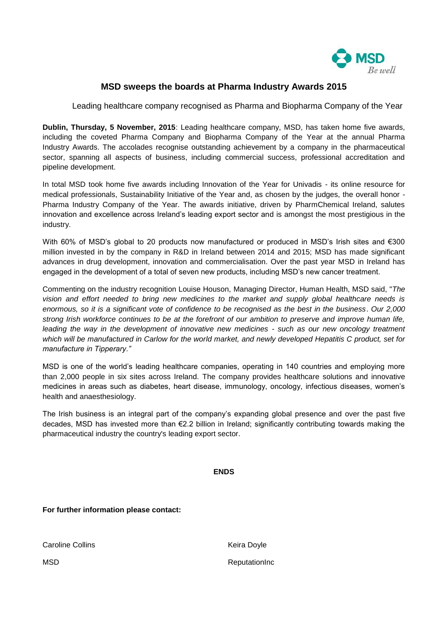

## **MSD sweeps the boards at Pharma Industry Awards 2015**

Leading healthcare company recognised as Pharma and Biopharma Company of the Year

**Dublin, Thursday, 5 November, 2015**: Leading healthcare company, MSD, has taken home five awards, including the coveted Pharma Company and Biopharma Company of the Year at the annual Pharma Industry Awards. The accolades recognise outstanding achievement by a company in the pharmaceutical sector, spanning all aspects of business, including commercial success, professional accreditation and pipeline development.

In total MSD took home five awards including Innovation of the Year for Univadis - its online resource for medical professionals, Sustainability Initiative of the Year and, as chosen by the judges, the overall honor - Pharma Industry Company of the Year. The awards initiative, driven by PharmChemical Ireland, salutes innovation and excellence across Ireland's leading export sector and is amongst the most prestigious in the industry.

With 60% of MSD's global to 20 products now manufactured or produced in MSD's Irish sites and €300 million invested in by the company in R&D in Ireland between 2014 and 2015; MSD has made significant advances in drug development, innovation and commercialisation. Over the past year MSD in Ireland has engaged in the development of a total of seven new products, including MSD's new cancer treatment.

Commenting on the industry recognition Louise Houson, Managing Director, Human Health, MSD said, "*The vision and effort needed to bring new medicines to the market and supply global healthcare needs is enormous, so it is a significant vote of confidence to be recognised as the best in the business*. *Our 2,000 strong Irish workforce continues to be at the forefront of our ambition to preserve and improve human life, leading the way in the development of innovative new medicines - such as our new oncology treatment which will be manufactured in Carlow for the world market, and newly developed Hepatitis C product, set for manufacture in Tipperary."*

MSD is one of the world's leading healthcare companies, operating in 140 countries and employing more than 2,000 people in six sites across Ireland. The company provides healthcare solutions and innovative medicines in areas such as diabetes, heart disease, immunology, oncology, infectious diseases, women's health and anaesthesiology.

The Irish business is an integral part of the company's expanding global presence and over the past five decades, MSD has invested more than €2.2 billion in Ireland; significantly contributing towards making the pharmaceutical industry the country's leading export sector.

**ENDS**

**For further information please contact:**

Caroline Collins

Keira Doyle

ReputationInc

**MSD**